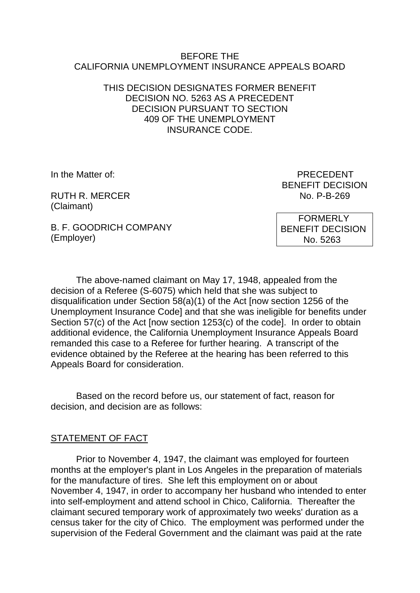#### BEFORE THE CALIFORNIA UNEMPLOYMENT INSURANCE APPEALS BOARD

### THIS DECISION DESIGNATES FORMER BENEFIT DECISION NO. 5263 AS A PRECEDENT DECISION PURSUANT TO SECTION 409 OF THE UNEMPLOYMENT INSURANCE CODE.

RUTH R MERCER NO. P-B-269 (Claimant)

In the Matter of: **PRECEDENT** BENEFIT DECISION

B. F. GOODRICH COMPANY (Employer)

 FORMERLY BENEFIT DECISION No. 5263

The above-named claimant on May 17, 1948, appealed from the decision of a Referee (S-6075) which held that she was subject to disqualification under Section 58(a)(1) of the Act [now section 1256 of the Unemployment Insurance Code] and that she was ineligible for benefits under Section 57(c) of the Act [now section 1253(c) of the code]. In order to obtain additional evidence, the California Unemployment Insurance Appeals Board remanded this case to a Referee for further hearing. A transcript of the evidence obtained by the Referee at the hearing has been referred to this Appeals Board for consideration.

Based on the record before us, our statement of fact, reason for decision, and decision are as follows:

# STATEMENT OF FACT

Prior to November 4, 1947, the claimant was employed for fourteen months at the employer's plant in Los Angeles in the preparation of materials for the manufacture of tires. She left this employment on or about November 4, 1947, in order to accompany her husband who intended to enter into self-employment and attend school in Chico, California. Thereafter the claimant secured temporary work of approximately two weeks' duration as a census taker for the city of Chico. The employment was performed under the supervision of the Federal Government and the claimant was paid at the rate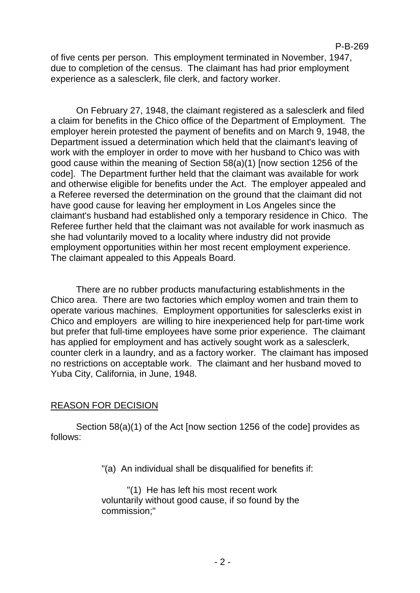of five cents per person. This employment terminated in November, 1947, due to completion of the census. The claimant has had prior employment experience as a salesclerk, file clerk, and factory worker.

On February 27, 1948, the claimant registered as a salesclerk and filed a claim for benefits in the Chico office of the Department of Employment. The employer herein protested the payment of benefits and on March 9, 1948, the Department issued a determination which held that the claimant's leaving of work with the employer in order to move with her husband to Chico was with good cause within the meaning of Section 58(a)(1) [now section 1256 of the code]. The Department further held that the claimant was available for work and otherwise eligible for benefits under the Act. The employer appealed and a Referee reversed the determination on the ground that the claimant did not have good cause for leaving her employment in Los Angeles since the claimant's husband had established only a temporary residence in Chico. The Referee further held that the claimant was not available for work inasmuch as she had voluntarily moved to a locality where industry did not provide employment opportunities within her most recent employment experience. The claimant appealed to this Appeals Board.

There are no rubber products manufacturing establishments in the Chico area. There are two factories which employ women and train them to operate various machines. Employment opportunities for salesclerks exist in Chico and employers are willing to hire inexperienced help for part-time work but prefer that full-time employees have some prior experience. The claimant has applied for employment and has actively sought work as a salesclerk, counter clerk in a laundry, and as a factory worker. The claimant has imposed no restrictions on acceptable work. The claimant and her husband moved to Yuba City, California, in June, 1948.

#### REASON FOR DECISION

Section 58(a)(1) of the Act [now section 1256 of the code] provides as follows:

"(a) An individual shall be disqualified for benefits if:

"(1) He has left his most recent work voluntarily without good cause, if so found by the commission;"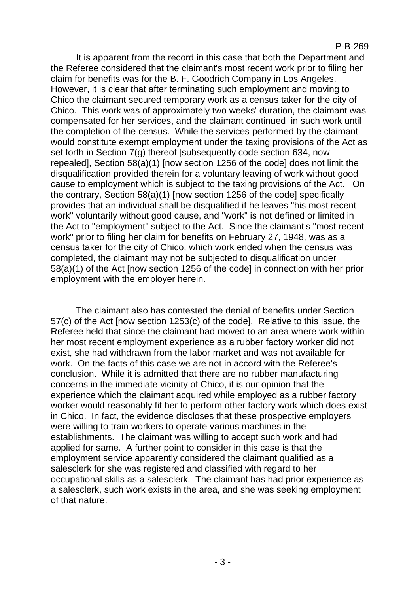It is apparent from the record in this case that both the Department and the Referee considered that the claimant's most recent work prior to filing her claim for benefits was for the B. F. Goodrich Company in Los Angeles. However, it is clear that after terminating such employment and moving to Chico the claimant secured temporary work as a census taker for the city of Chico. This work was of approximately two weeks' duration, the claimant was compensated for her services, and the claimant continued in such work until the completion of the census. While the services performed by the claimant would constitute exempt employment under the taxing provisions of the Act as set forth in Section 7(g) thereof [subsequently code section 634, now repealed], Section 58(a)(1) [now section 1256 of the code] does not limit the disqualification provided therein for a voluntary leaving of work without good cause to employment which is subject to the taxing provisions of the Act. On the contrary, Section 58(a)(1) [now section 1256 of the code] specifically provides that an individual shall be disqualified if he leaves "his most recent work" voluntarily without good cause, and "work" is not defined or limited in the Act to "employment" subject to the Act. Since the claimant's "most recent work" prior to filing her claim for benefits on February 27, 1948, was as a census taker for the city of Chico, which work ended when the census was completed, the claimant may not be subjected to disqualification under 58(a)(1) of the Act [now section 1256 of the code] in connection with her prior employment with the employer herein.

The claimant also has contested the denial of benefits under Section 57(c) of the Act [now section 1253(c) of the code]. Relative to this issue, the Referee held that since the claimant had moved to an area where work within her most recent employment experience as a rubber factory worker did not exist, she had withdrawn from the labor market and was not available for work. On the facts of this case we are not in accord with the Referee's conclusion. While it is admitted that there are no rubber manufacturing concerns in the immediate vicinity of Chico, it is our opinion that the experience which the claimant acquired while employed as a rubber factory worker would reasonably fit her to perform other factory work which does exist in Chico. In fact, the evidence discloses that these prospective employers were willing to train workers to operate various machines in the establishments. The claimant was willing to accept such work and had applied for same. A further point to consider in this case is that the employment service apparently considered the claimant qualified as a salesclerk for she was registered and classified with regard to her occupational skills as a salesclerk. The claimant has had prior experience as a salesclerk, such work exists in the area, and she was seeking employment of that nature.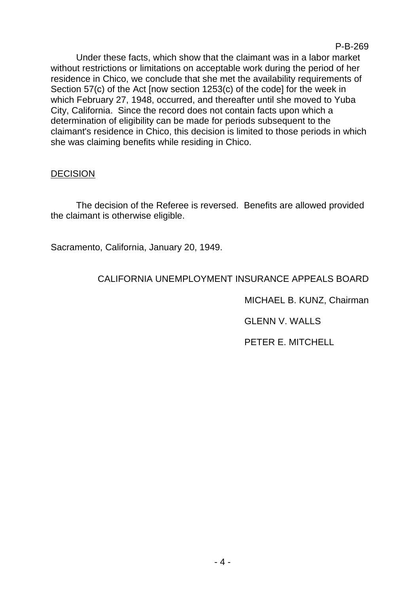P-B-269

Under these facts, which show that the claimant was in a labor market without restrictions or limitations on acceptable work during the period of her residence in Chico, we conclude that she met the availability requirements of Section 57(c) of the Act [now section 1253(c) of the code] for the week in which February 27, 1948, occurred, and thereafter until she moved to Yuba City, California. Since the record does not contain facts upon which a determination of eligibility can be made for periods subsequent to the claimant's residence in Chico, this decision is limited to those periods in which she was claiming benefits while residing in Chico.

## **DECISION**

The decision of the Referee is reversed. Benefits are allowed provided the claimant is otherwise eligible.

Sacramento, California, January 20, 1949.

# CALIFORNIA UNEMPLOYMENT INSURANCE APPEALS BOARD

MICHAEL B. KUNZ, Chairman

GLENN V. WALLS

PETER E. MITCHELL